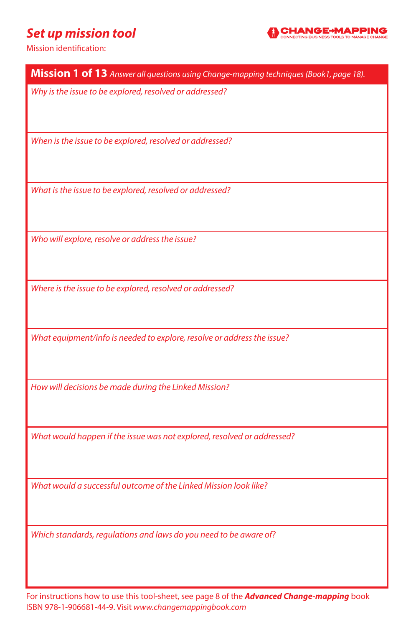#### *Set up mission tool*



| Mission 1 of 13 Answer all questions using Change-mapping techniques (Book1, page 18). |
|----------------------------------------------------------------------------------------|
| Why is the issue to be explored, resolved or addressed?                                |
| When is the issue to be explored, resolved or addressed?                               |
| What is the issue to be explored, resolved or addressed?                               |
| Who will explore, resolve or address the issue?                                        |
|                                                                                        |
| Where is the issue to be explored, resolved or addressed?                              |
| What equipment/info is needed to explore, resolve or address the issue?                |
| How will decisions be made during the Linked Mission?                                  |
| What would happen if the issue was not explored, resolved or addressed?                |
| What would a successful outcome of the Linked Mission look like?                       |
| Which standards, regulations and laws do you need to be aware of?                      |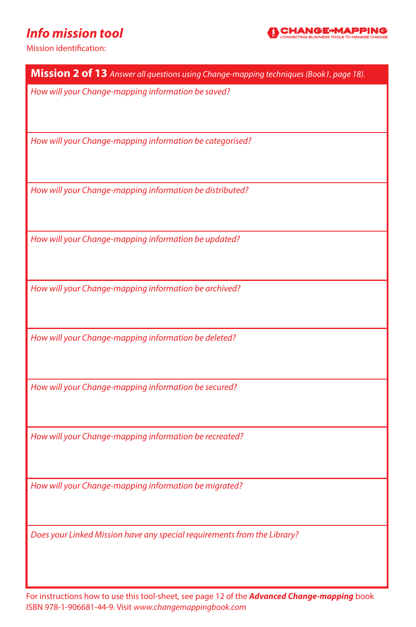## *Info mission tool*



Mission identification:

| Mission 2 of 13 Answer all questions using Change-mapping techniques (Book1, page 18). |
|----------------------------------------------------------------------------------------|
| How will your Change-mapping information be saved?                                     |
|                                                                                        |
| How will your Change-mapping information be categorised?                               |
| How will your Change-mapping information be distributed?                               |
|                                                                                        |
| How will your Change-mapping information be updated?                                   |
| How will your Change-mapping information be archived?                                  |
| How will your Change-mapping information be deleted?                                   |
| How will your Change-mapping information be secured?                                   |
| How will your Change-mapping information be recreated?                                 |
| How will your Change-mapping information be migrated?                                  |
| Does your Linked Mission have any special requirements from the Library?               |

For instructions how to use this tool-sheet, see page 12 of the *Advanced Change-mapping* book ISBN 978-1-906681-44-9. Visit *www.changemappingbook.com*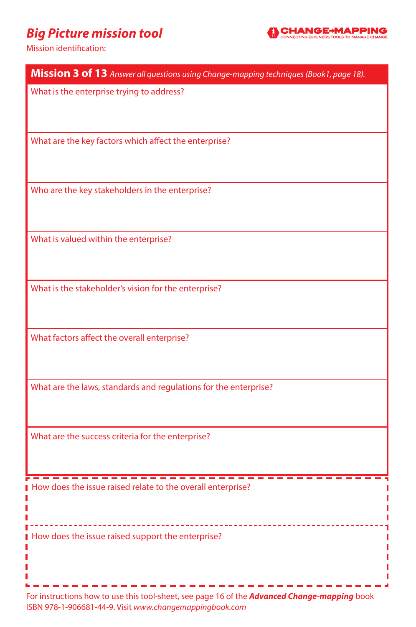## *Big Picture mission tool*



Mission identification:

| Mission 3 of 13 Answer all questions using Change-mapping techniques (Book1, page 18).              |
|-----------------------------------------------------------------------------------------------------|
| What is the enterprise trying to address?                                                           |
|                                                                                                     |
|                                                                                                     |
| What are the key factors which affect the enterprise?                                               |
|                                                                                                     |
|                                                                                                     |
| Who are the key stakeholders in the enterprise?                                                     |
|                                                                                                     |
| What is valued within the enterprise?                                                               |
|                                                                                                     |
|                                                                                                     |
| What is the stakeholder's vision for the enterprise?                                                |
|                                                                                                     |
|                                                                                                     |
| What factors affect the overall enterprise?                                                         |
|                                                                                                     |
|                                                                                                     |
| What are the laws, standards and regulations for the enterprise?                                    |
|                                                                                                     |
|                                                                                                     |
| What are the success criteria for the enterprise?                                                   |
|                                                                                                     |
| How does the issue raised relate to the overall enterprise?                                         |
|                                                                                                     |
|                                                                                                     |
| How does the issue raised support the enterprise?                                                   |
|                                                                                                     |
|                                                                                                     |
| For instructions how to use this tool-sheet, see page 16 of the <b>Advanced Change-mapping</b> book |
|                                                                                                     |

ISBN 978-1-906681-44-9. Visit *www.changemappingbook.com*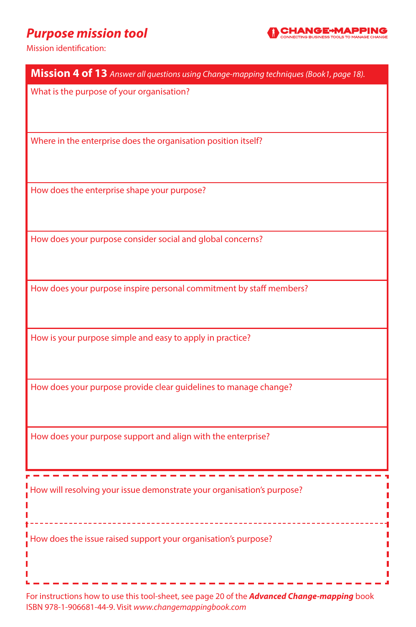## *Purpose mission tool*



Mission identification:

| Mission 4 of 13 Answer all questions using Change-mapping techniques (Book1, page 18). |
|----------------------------------------------------------------------------------------|
| What is the purpose of your organisation?                                              |
| Where in the enterprise does the organisation position itself?                         |
| How does the enterprise shape your purpose?                                            |
| How does your purpose consider social and global concerns?                             |
| How does your purpose inspire personal commitment by staff members?                    |
| How is your purpose simple and easy to apply in practice?                              |
| How does your purpose provide clear guidelines to manage change?                       |
| How does your purpose support and align with the enterprise?                           |
| How will resolving your issue demonstrate your organisation's purpose?                 |
| How does the issue raised support your organisation's purpose?                         |

For instructions how to use this tool-sheet, see page 20 of the *Advanced Change-mapping* book ISBN 978-1-906681-44-9. Visit *www.changemappingbook.com*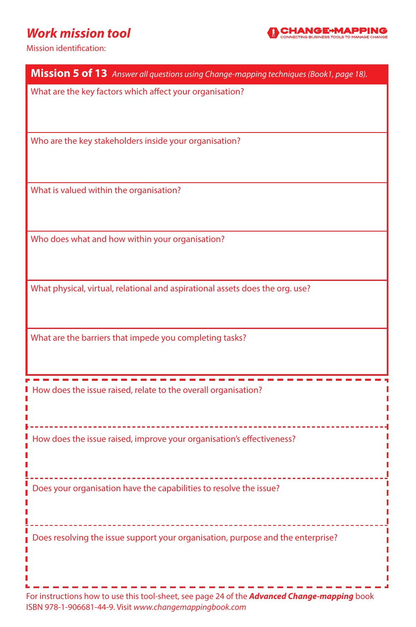## *Work mission tool*



| Mission 5 of 13 Answer all questions using Change-mapping techniques (Book1, page 18).                                                                         |
|----------------------------------------------------------------------------------------------------------------------------------------------------------------|
| What are the key factors which affect your organisation?                                                                                                       |
|                                                                                                                                                                |
|                                                                                                                                                                |
| Who are the key stakeholders inside your organisation?                                                                                                         |
|                                                                                                                                                                |
| What is valued within the organisation?                                                                                                                        |
|                                                                                                                                                                |
|                                                                                                                                                                |
| Who does what and how within your organisation?                                                                                                                |
|                                                                                                                                                                |
|                                                                                                                                                                |
| What physical, virtual, relational and aspirational assets does the org. use?                                                                                  |
|                                                                                                                                                                |
| What are the barriers that impede you completing tasks?                                                                                                        |
|                                                                                                                                                                |
|                                                                                                                                                                |
| How does the issue raised, relate to the overall organisation?                                                                                                 |
|                                                                                                                                                                |
| How does the issue raised, improve your organisation's effectiveness?                                                                                          |
|                                                                                                                                                                |
|                                                                                                                                                                |
| Does your organisation have the capabilities to resolve the issue?                                                                                             |
|                                                                                                                                                                |
|                                                                                                                                                                |
| Does resolving the issue support your organisation, purpose and the enterprise?                                                                                |
|                                                                                                                                                                |
|                                                                                                                                                                |
| For instructions how to use this tool-sheet, see page 24 of the <b>Advanced Change-mapping</b> book<br>ISBN 978-1-906681-44-9. Visit www.changemappingbook.com |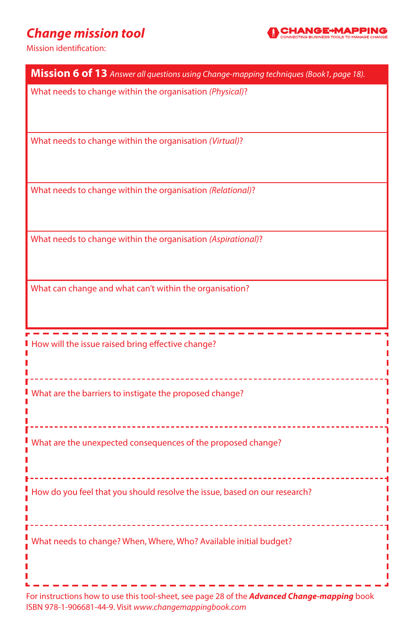## *Change mission tool*



Mission identification:

| Mission 6 of 13 Answer all questions using Change-mapping techniques (Book1, page 18).        |
|-----------------------------------------------------------------------------------------------|
| What needs to change within the organisation (Physical)?                                      |
| What needs to change within the organisation (Virtual)?                                       |
| What needs to change within the organisation (Relational)?                                    |
| What needs to change within the organisation (Aspirational)?                                  |
| What can change and what can't within the organisation?                                       |
|                                                                                               |
| How will the issue raised bring effective change?                                             |
| What are the barriers to instigate the proposed change?<br>---------------------------------- |
| What are the unexpected consequences of the proposed change?                                  |
| How do you feel that you should resolve the issue, based on our research?                     |
| What needs to change? When, Where, Who? Available initial budget?                             |

For instructions how to use this tool-sheet, see page 28 of the *Advanced Change-mapping* book ISBN 978-1-906681-44-9. Visit *www.changemappingbook.com*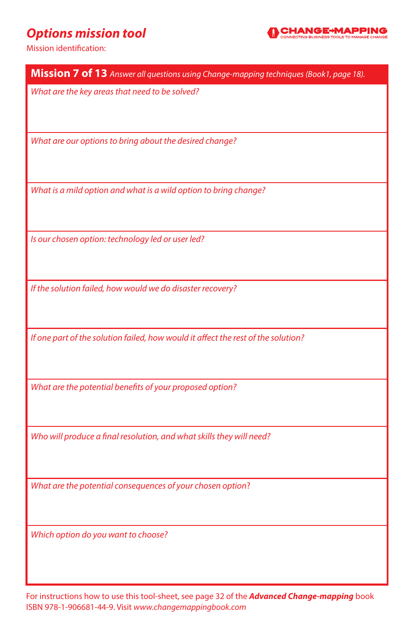## *Options mission tool*



Mission identification:

| Mission 7 of 13 Answer all questions using Change-mapping techniques (Book1, page 18). |
|----------------------------------------------------------------------------------------|
| What are the key areas that need to be solved?                                         |
| What are our options to bring about the desired change?                                |
| What is a mild option and what is a wild option to bring change?                       |
| Is our chosen option: technology led or user led?                                      |
| If the solution failed, how would we do disaster recovery?                             |
| If one part of the solution failed, how would it affect the rest of the solution?      |
| What are the potential benefits of your proposed option?                               |
| Who will produce a final resolution, and what skills they will need?                   |
| What are the potential consequences of your chosen option?                             |
| Which option do you want to choose?                                                    |

For instructions how to use this tool-sheet, see page 32 of the *Advanced Change-mapping* book ISBN 978-1-906681-44-9. Visit *www.changemappingbook.com*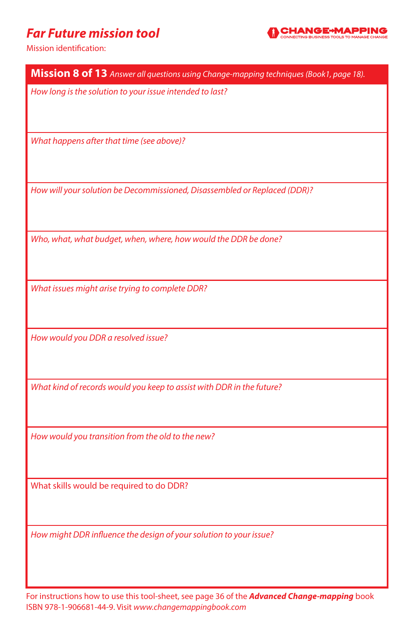#### *Far Future mission tool*



Mission identification:

| Mission 8 of 13 Answer all questions using Change-mapping techniques (Book1, page 18). |
|----------------------------------------------------------------------------------------|
| How long is the solution to your issue intended to last?                               |
| What happens after that time (see above)?                                              |
| How will your solution be Decommissioned, Disassembled or Replaced (DDR)?              |
| Who, what, what budget, when, where, how would the DDR be done?                        |
| What issues might arise trying to complete DDR?                                        |
| How would you DDR a resolved issue?                                                    |
| What kind of records would you keep to assist with DDR in the future?                  |
| How would you transition from the old to the new?                                      |
| What skills would be required to do DDR?                                               |
| How might DDR influence the design of your solution to your issue?                     |

For instructions how to use this tool-sheet, see page 36 of the *Advanced Change-mapping* book ISBN 978-1-906681-44-9. Visit *www.changemappingbook.com*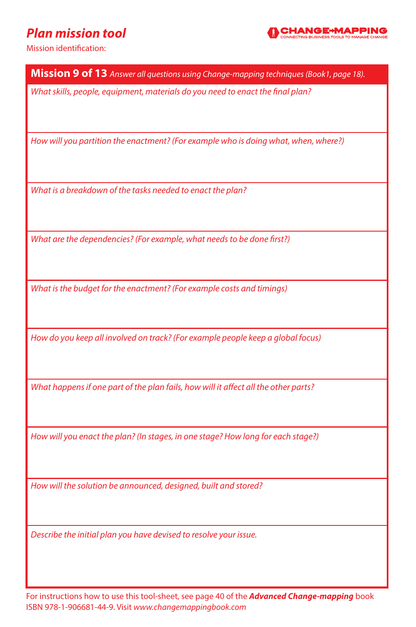## *Plan mission tool*



Mission identification:

**Mission 9 of 13** *Answer all questions using Change-mapping techniques (Book1, page 18).*

*What skills, people, equipment, materials do you need to enact the final plan?*

*How will you partition the enactment? (For example who is doing what, when, where?)*

*What is a breakdown of the tasks needed to enact the plan?*

*What are the dependencies? (For example, what needs to be done first?)*

*What is the budget for the enactment? (For example costs and timings)*

*How do you keep all involved on track? (For example people keep a global focus)*

*What happens if one part of the plan fails, how will it affect all the other parts?*

*How will you enact the plan? (In stages, in one stage? How long for each stage?)*

*How will the solution be announced, designed, built and stored?*

*Describe the initial plan you have devised to resolve your issue.*

For instructions how to use this tool-sheet, see page 40 of the *Advanced Change-mapping* book ISBN 978-1-906681-44-9. Visit *www.changemappingbook.com*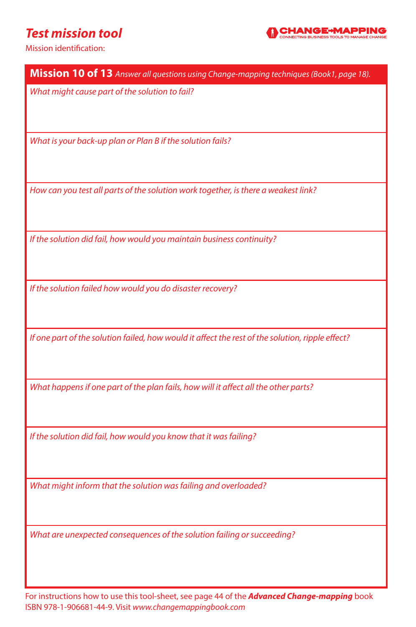#### *Test mission tool*



Mission identification:

| Mission 10 of 13 Answer all questions using Change-mapping techniques (Book1, page 18).          |
|--------------------------------------------------------------------------------------------------|
| What might cause part of the solution to fail?                                                   |
| What is your back-up plan or Plan B if the solution fails?                                       |
| How can you test all parts of the solution work together, is there a weakest link?               |
| If the solution did fail, how would you maintain business continuity?                            |
| If the solution failed how would you do disaster recovery?                                       |
| If one part of the solution failed, how would it affect the rest of the solution, ripple effect? |
| What happens if one part of the plan fails, how will it affect all the other parts?              |
| If the solution did fail, how would you know that it was failing?                                |
| What might inform that the solution was failing and overloaded?                                  |
| What are unexpected consequences of the solution failing or succeeding?                          |

For instructions how to use this tool-sheet, see page 44 of the *Advanced Change-mapping* book ISBN 978-1-906681-44-9. Visit *www.changemappingbook.com*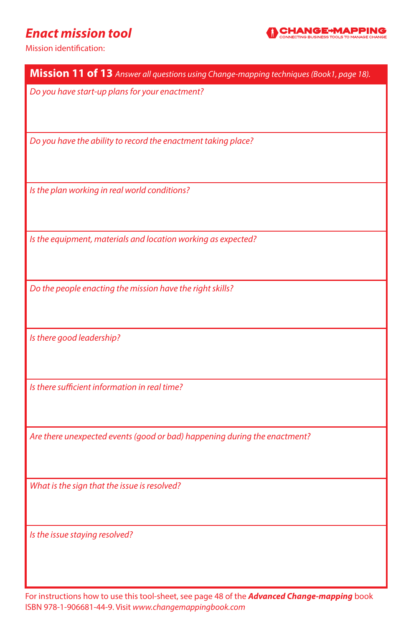#### *Enact mission tool*



Mission identification:

| Mission 11 of 13 Answer all questions using Change-mapping techniques (Book1, page 18). |
|-----------------------------------------------------------------------------------------|
| Do you have start-up plans for your enactment?                                          |
|                                                                                         |
| Do you have the ability to record the enactment taking place?                           |
|                                                                                         |
|                                                                                         |
| Is the plan working in real world conditions?                                           |
|                                                                                         |
|                                                                                         |
| Is the equipment, materials and location working as expected?                           |
|                                                                                         |
| Do the people enacting the mission have the right skills?                               |
|                                                                                         |
| Is there good leadership?                                                               |
|                                                                                         |
|                                                                                         |
| Is there sufficient information in real time?                                           |
|                                                                                         |
| Are there unexpected events (good or bad) happening during the enactment?               |
|                                                                                         |
|                                                                                         |
| What is the sign that the issue is resolved?                                            |
|                                                                                         |
|                                                                                         |
| Is the issue staying resolved?                                                          |
|                                                                                         |
|                                                                                         |

For instructions how to use this tool-sheet, see page 48 of the *Advanced Change-mapping* book ISBN 978-1-906681-44-9. Visit *www.changemappingbook.com*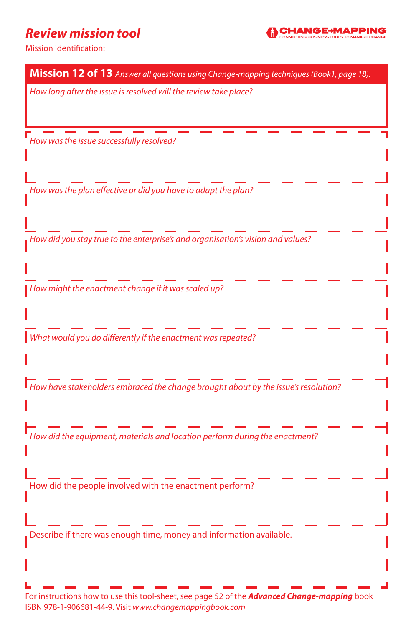#### *Review mission tool*



| Mission 12 of 13 Answer all questions using Change-mapping techniques (Book1, page 18).                                                                        |
|----------------------------------------------------------------------------------------------------------------------------------------------------------------|
| How long after the issue is resolved will the review take place?                                                                                               |
|                                                                                                                                                                |
|                                                                                                                                                                |
| How was the issue successfully resolved?                                                                                                                       |
|                                                                                                                                                                |
| How was the plan effective or did you have to adapt the plan?                                                                                                  |
|                                                                                                                                                                |
|                                                                                                                                                                |
| How did you stay true to the enterprise's and organisation's vision and values?                                                                                |
|                                                                                                                                                                |
|                                                                                                                                                                |
| How might the enactment change if it was scaled up?                                                                                                            |
|                                                                                                                                                                |
| What would you do differently if the enactment was repeated?                                                                                                   |
|                                                                                                                                                                |
|                                                                                                                                                                |
| $\textsf{I}\hspace{-.1em}\textsf{I}$ How have stakeholders embraced the change brought about by the issue's resolution?                                        |
|                                                                                                                                                                |
| How did the equipment, materials and location perform during the enactment?                                                                                    |
|                                                                                                                                                                |
|                                                                                                                                                                |
| How did the people involved with the enactment perform?                                                                                                        |
|                                                                                                                                                                |
| Describe if there was enough time, money and information available.                                                                                            |
|                                                                                                                                                                |
|                                                                                                                                                                |
|                                                                                                                                                                |
| For instructions how to use this tool-sheet, see page 52 of the <b>Advanced Change-mapping</b> book<br>ISBN 978-1-906681-44-9. Visit www.changemappingbook.com |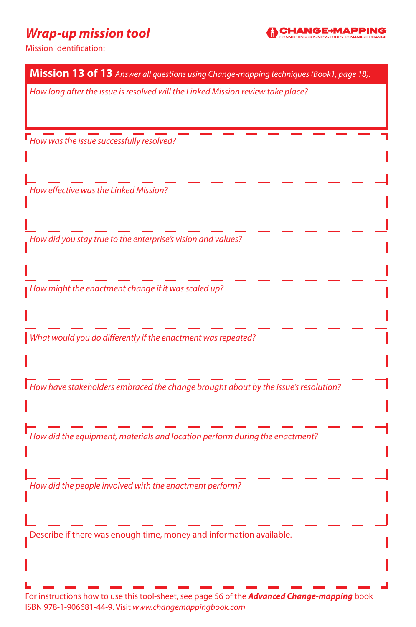# *Wrap-up mission tool*



| Mission 13 of 13 Answer all questions using Change-mapping techniques (Book1, page 18).                                                                        |  |
|----------------------------------------------------------------------------------------------------------------------------------------------------------------|--|
| How long after the issue is resolved will the Linked Mission review take place?                                                                                |  |
|                                                                                                                                                                |  |
|                                                                                                                                                                |  |
| $\blacksquare$ How was the issue successfully resolved?                                                                                                        |  |
|                                                                                                                                                                |  |
|                                                                                                                                                                |  |
| How effective was the Linked Mission?                                                                                                                          |  |
|                                                                                                                                                                |  |
|                                                                                                                                                                |  |
| How did you stay true to the enterprise's vision and values?                                                                                                   |  |
|                                                                                                                                                                |  |
|                                                                                                                                                                |  |
| How might the enactment change if it was scaled up?                                                                                                            |  |
|                                                                                                                                                                |  |
|                                                                                                                                                                |  |
| What would you do differently if the enactment was repeated?                                                                                                   |  |
|                                                                                                                                                                |  |
|                                                                                                                                                                |  |
| How have stakeholders embraced the change brought about by the issue's resolution?                                                                             |  |
|                                                                                                                                                                |  |
|                                                                                                                                                                |  |
| How did the equipment, materials and location perform during the enactment?                                                                                    |  |
|                                                                                                                                                                |  |
|                                                                                                                                                                |  |
| How did the people involved with the enactment perform?                                                                                                        |  |
|                                                                                                                                                                |  |
|                                                                                                                                                                |  |
| Describe if there was enough time, money and information available.                                                                                            |  |
|                                                                                                                                                                |  |
|                                                                                                                                                                |  |
|                                                                                                                                                                |  |
| For instructions how to use this tool-sheet, see page 56 of the <b>Advanced Change-mapping</b> book<br>ISBN 978-1-906681-44-9. Visit www.changemappingbook.com |  |